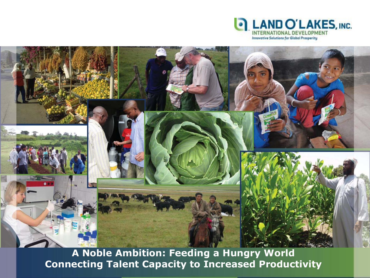

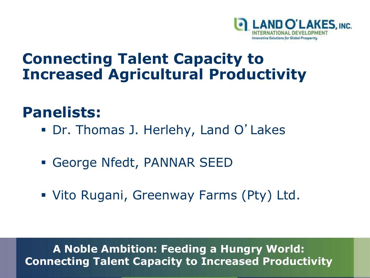

#### **Connecting Talent Capacity to Increased Agricultural Productivity**

#### **Panelists:**

- Dr. Thomas J. Herlehy, Land O'Lakes
- George Nfedt, PANNAR SEED
- Vito Rugani, Greenway Farms (Pty) Ltd.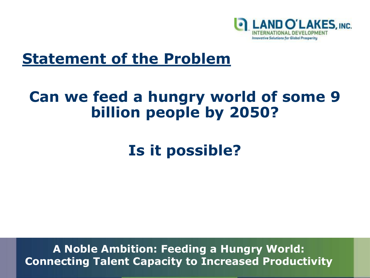

#### **Statement of the Problem**

#### **Can we feed a hungry world of some 9 billion people by 2050?**

### **Is it possible?**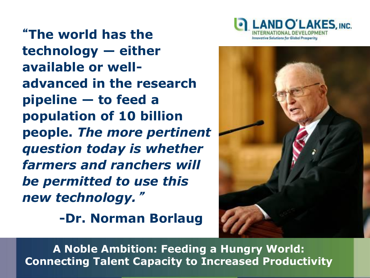

"**The world has the technology — either available or welladvanced in the research pipeline — to feed a population of 10 billion people.** *The more pertinent question today is whether farmers and ranchers will be permitted to use this new technology.*"

**-Dr. Norman Borlaug**

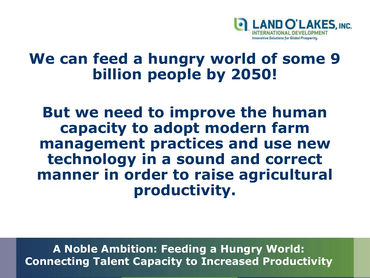

#### **We can feed a hungry world of some 9 billion people by 2050!**

**But we need to improve the human capacity to adopt modern farm management practices and use new technology in a sound and correct manner in order to raise agricultural productivity.**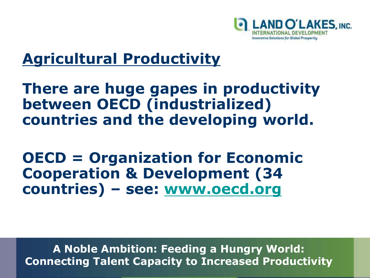

#### **Agricultural Productivity**

#### **There are huge gapes in productivity between OECD (industrialized) countries and the developing world.**

**OECD = Organization for Economic Cooperation & Development (34 countries) – see: [www.oecd.org](http://www.oecd.org/)**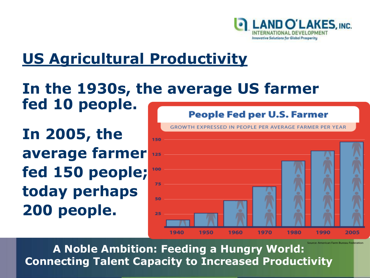

### **US Agricultural Productivity**

#### **In the 1930s, the average US farmer fed 10 people.**

**In 2005, the average farmer fed 150 people; today perhaps 200 people.** 

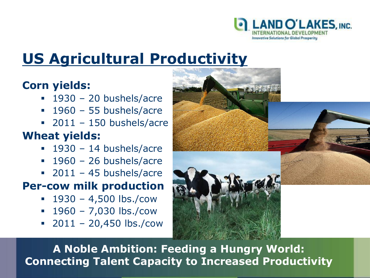

### **US Agricultural Productivity**

#### **Corn yields:**

- $-1930 20$  bushels/acre
- $-1960 55$  bushels/acre
- $-2011 150$  bushels/acre

#### **Wheat yields:**

- $-1930 14$  bushels/acre
- $-1960 26$  bushels/acre
- $-2011 45$  bushels/acre

#### **Per-cow milk production**

- $1930 4,500$  lbs./cow
- $1960 7,030$  lbs./cow
- $-2011 20,450$  lbs./cow

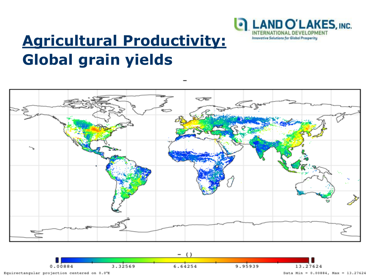

## **Agricultural Productivity: Global grain yields**



**A Global Agribusiness Perspective**

Equirectangular projection centered on 0.0°E

Data Min =  $0.00884$ , Max = 13.27624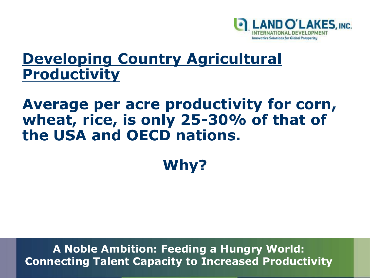

#### **Developing Country Agricultural Productivity**

#### **Average per acre productivity for corn, wheat, rice, is only 25-30% of that of the USA and OECD nations.**

# **Why?**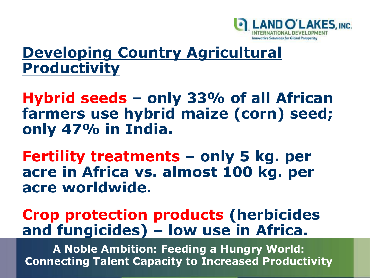

#### **Developing Country Agricultural Productivity**

**Hybrid seeds – only 33% of all African farmers use hybrid maize (corn) seed; only 47% in India.**

**Fertility treatments – only 5 kg. per acre in Africa vs. almost 100 kg. per acre worldwide.**

#### **Crop protection products (herbicides and fungicides) – low use in Africa.**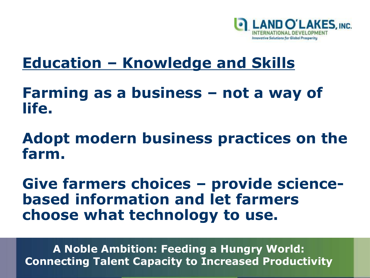

#### **Farming as a business – not a way of life.**

#### **Adopt modern business practices on the farm.**

**Give farmers choices – provide sciencebased information and let farmers choose what technology to use.**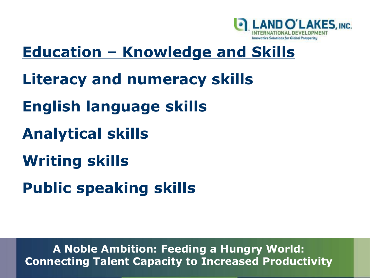

- **Literacy and numeracy skills**
- **English language skills**
- **Analytical skills**
- **Writing skills**
- **Public speaking skills**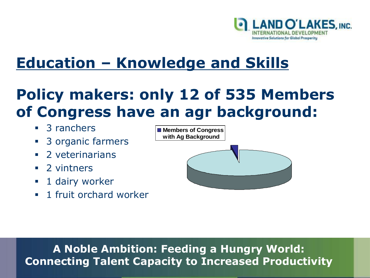

### **Policy makers: only 12 of 535 Members of Congress have an agr background:**

- 3 ranchers
- 3 organic farmers
- 2 veterinarians
- 2 vintners
- **1** dairy worker
- **1** fruit orchard worker

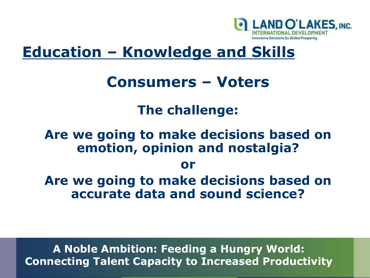

#### **Consumers – Voters**

#### **The challenge:**

#### **Are we going to make decisions based on emotion, opinion and nostalgia?**

#### **or**

**Are we going to make decisions based on accurate data and sound science?**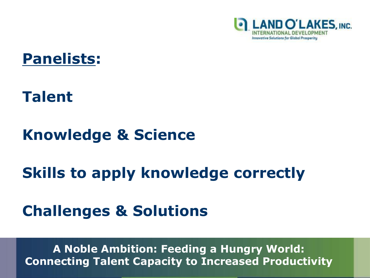



#### **Talent**

#### **Knowledge & Science**

#### **Skills to apply knowledge correctly**

#### **Challenges & Solutions**